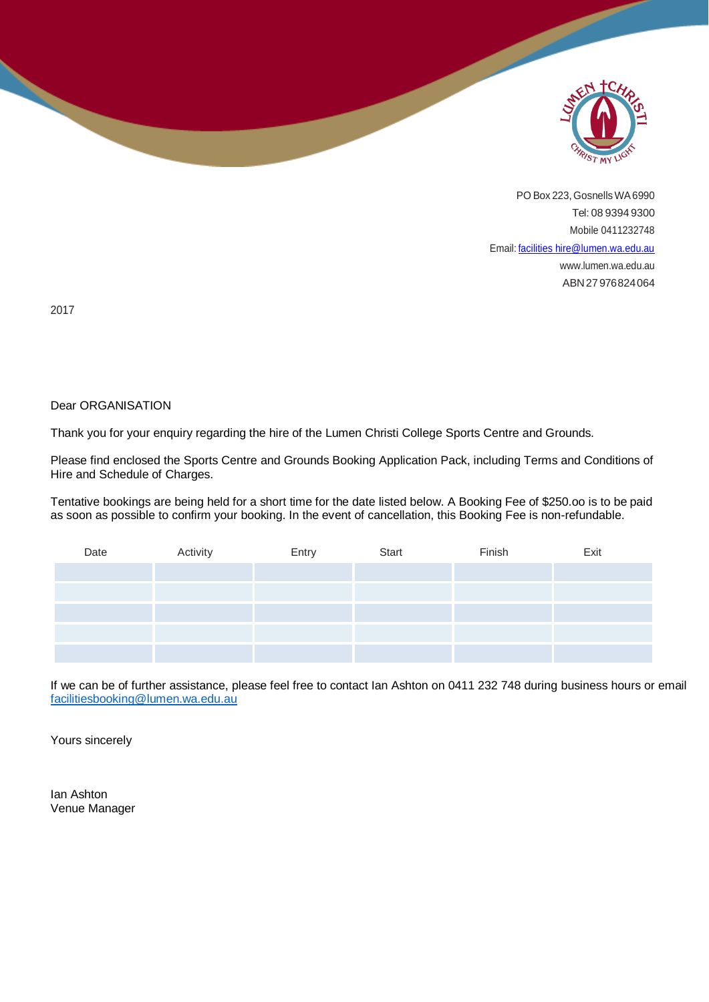

PO Box 223, Gosnells WA 6990 Tel: 08 9394 9300 Mobile 0411232748 Email: [facilities hire@lumen.wa.edu.au](mailto:facilities%20hire@lumen.wa.edu.au) [www.lumen.wa.edu.au](http://www.lumen.wa.edu.au/) ABN27976824064

2017

╲

#### Dear ORGANISATION

Thank you for your enquiry regarding the hire of the Lumen Christi College Sports Centre and Grounds.

Please find enclosed the Sports Centre and Grounds Booking Application Pack, including Terms and Conditions of Hire and Schedule of Charges.

Tentative bookings are being held for a short time for the date listed below. A Booking Fee of \$250.oo is to be paid as soon as possible to confirm your booking. In the event of cancellation, this Booking Fee is non-refundable.

| Date | Activity | Entry | Start | Finish | Exit |
|------|----------|-------|-------|--------|------|
|      |          |       |       |        |      |
|      |          |       |       |        |      |
|      |          |       |       |        |      |
|      |          |       |       |        |      |
|      |          |       |       |        |      |

If we can be of further assistance, please feel free to contact Ian Ashton on 0411 232 748 during business hours or email [facilitiesbooking@lumen.wa.edu.au](mailto:facilitiesbooking@lumen.wa.edu.au)

Yours sincerely

Ian Ashton Venue Manager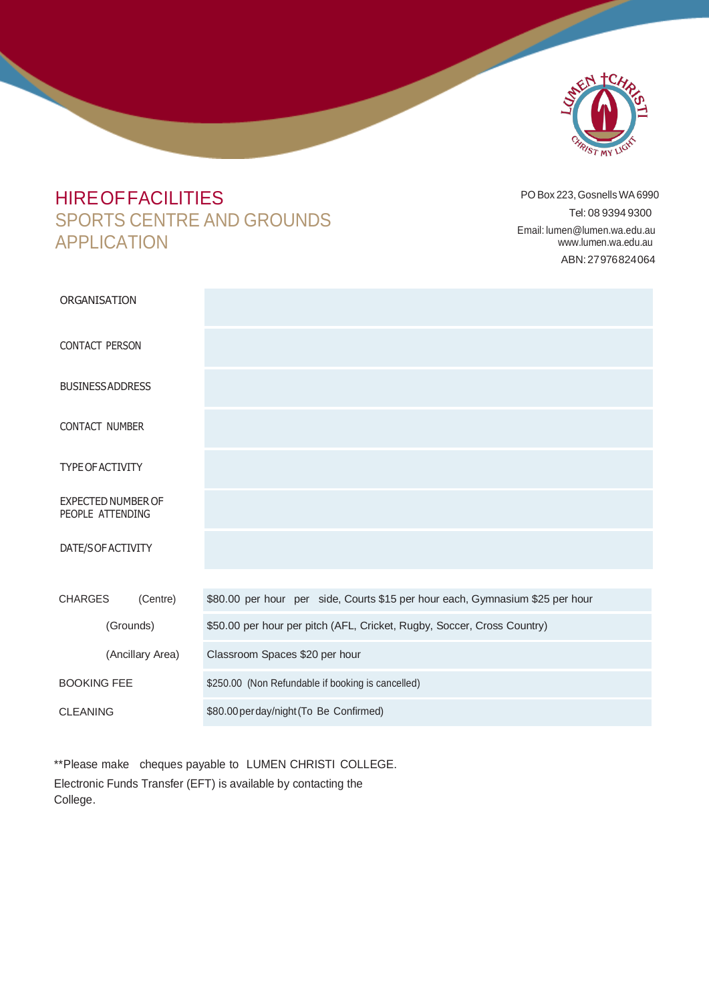

# **HIRE OF FACILITIES** SPORTS CENTRE AND GROUNDS APPLICATION

PO Box 223, Gosnells WA 6990 Tel: 08 9394 9300 Email: [lumen@lumen.wa.edu.au](mailto:lumen@lumen.wa.edu.au) [www.lumen.wa.edu.au](http://www.lumen.wa.edu.au/) ABN:27976824064

| ORGANISATION                                  |                                                                               |
|-----------------------------------------------|-------------------------------------------------------------------------------|
| <b>CONTACT PERSON</b>                         |                                                                               |
| <b>BUSINESS ADDRESS</b>                       |                                                                               |
| <b>CONTACT NUMBER</b>                         |                                                                               |
| <b>TYPE OF ACTIVITY</b>                       |                                                                               |
| <b>EXPECTED NUMBER OF</b><br>PEOPLE ATTENDING |                                                                               |
| DATE/SOF ACTIVITY                             |                                                                               |
|                                               |                                                                               |
| <b>CHARGES</b><br>(Centre)                    | \$80.00 per hour per side, Courts \$15 per hour each, Gymnasium \$25 per hour |
| (Grounds)                                     | \$50.00 per hour per pitch (AFL, Cricket, Rugby, Soccer, Cross Country)       |
| (Ancillary Area)                              | Classroom Spaces \$20 per hour                                                |
| <b>BOOKING FEE</b>                            | \$250.00 (Non Refundable if booking is cancelled)                             |
| <b>CLEANING</b>                               | \$80.00 per day/night (To Be Confirmed)                                       |

\*\*Please make cheques payable to LUMEN CHRISTI COLLEGE. Electronic Funds Transfer (EFT) is available by contacting the College.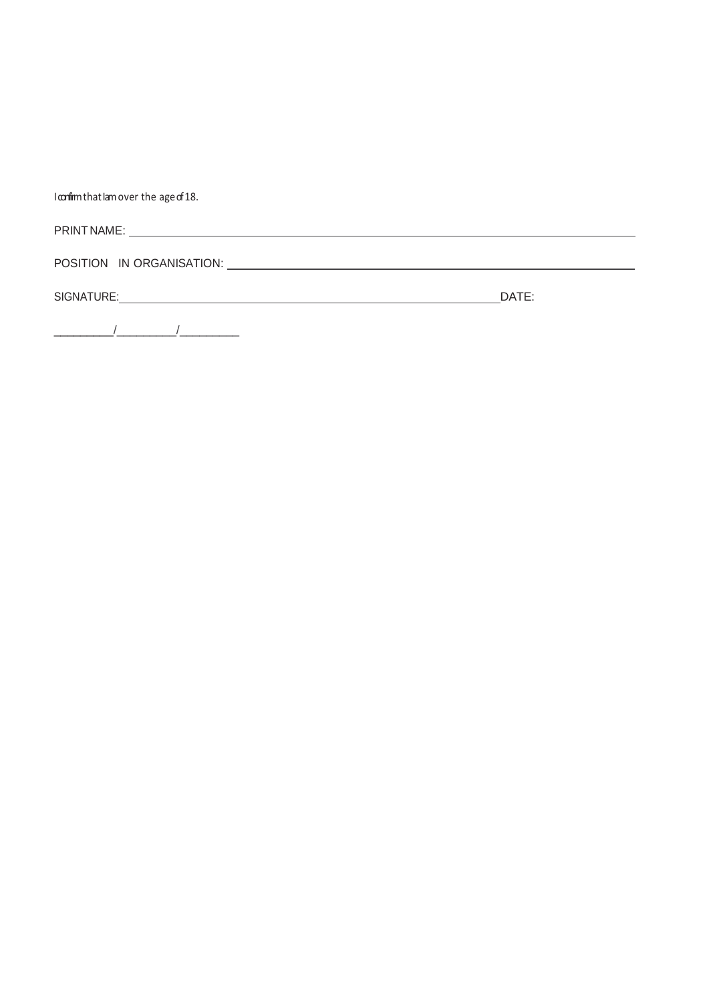I confirm that lam over the age of 18.

| . <b>.</b><br><b>DRIN</b><br>NAME<br>. |  |  |  |
|----------------------------------------|--|--|--|
|                                        |  |  |  |